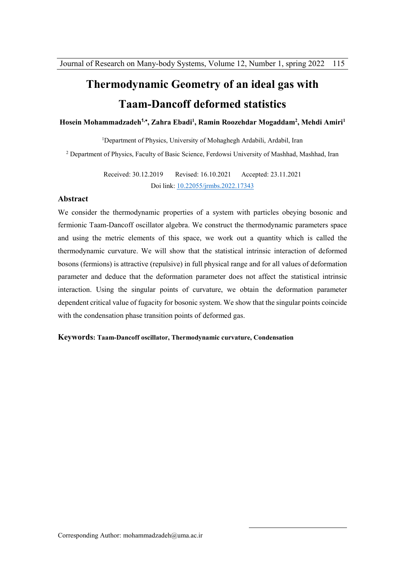# **Thermodynamic Geometry of an ideal gas with Taam-Dancoff deformed statistics**

#### **Hosein Mohammadzadeh<sup>1</sup>, , Zahra Ebadi<sup>1</sup> , Ramin Roozehdar Mogaddam<sup>2</sup> , Mehdi Amiri<sup>1</sup>**

<sup>1</sup>Department of Physics, University of Mohaghegh Ardabili, Ardabil, Iran <sup>2</sup> Department of Physics, Faculty of Basic Science, Ferdowsi University of Mashhad, Mashhad, Iran

> Received: 30.12.2019 Revised: 16.10.2021 Accepted: 23.11.2021 Doi link: 10.22055/jrmbs.2022.17343

#### **Abstract**

We consider the thermodynamic properties of a system with particles obeying bosonic and fermionic Taam-Dancoff oscillator algebra. We construct the thermodynamic parameters space and using the metric elements of this space, we work out a quantity which is called the thermodynamic curvature. We will show that the statistical intrinsic interaction of deformed bosons (fermions) is attractive (repulsive) in full physical range and for all values of deformation parameter and deduce that the deformation parameter does not affect the statistical intrinsic interaction. Using the singular points of curvature, we obtain the deformation parameter dependent critical value of fugacity for bosonic system. We show that the singular points coincide with the condensation phase transition points of deformed gas.

1

#### **Keywords: Taam-Dancoff oscillator, Thermodynamic curvature, Condensation**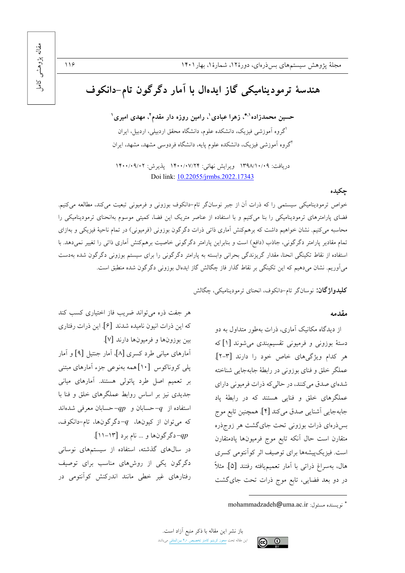# مقاله پڑوهشی  $\sum_{i=1}^{n}$

 $119$ 

# هندسهٔ ترمودینامیکی گاز ایدهال با آمار دگرگون تام-دانکوف

حسین محمدزاده'\*، زهرا عبادی'، رامین روزه دار مقدم<sup>۲</sup>، مهدی امیری' اگروه آموزشی فیزیک، دانشکده علوم، دانشگاه محقق اردبیلی، اردبیل، ایران <sup>ا</sup>گروه آموزشی فیزیک، دانشکده علوم یایه، دانشگاه فردوسی مشهد، مشهد، ایران

دريافت: ١٣٩٨/١٠/٠٩ ويرايش نهائي: ١۴٠٠/٠٧/٢۴ پذيرش: ١۴٠٠/٠٩/٠٢ Doi link: 10.22055/jrmbs.2022.17343

### چکیده

خواص ترمودینامیکی سیستمی را که ذرات آن از جبر نوسانگر تام-دانکوف بوزونی و فرمیونی تبعیت میکند، مطالعه میکنیم. فضای پارامترهای ترمودینامیکی را بنا میکنیم و با استفاده از عناصر متریک این فضا، کمیتی موسوم بهانحنای ترمودینامیکی را محاسبه میکنیم. نشان خواهیم داشت که برهمکنش آماری ذاتی ذرات دگرگون بوزونی (فرمیونی) در تمام ناحیهٔ فیزیکی و بهازای تمام مقادیر پارامتر دگرگونی، جاذب (دافع) است و بنابراین پارامتر دگرگونی خاصیت برهمکنش آماری ذاتی را تغییر نمیدهد. با استفاده از نقاط تکینگی انحنا، مقدار گریزندگی بحرانی وابسته به پارامتر دگرگونی را برای سیستم بوزونی دگرگون شده بهدست میآوریم. نشان میدهیم که این تکینگی بر نقاط گذار فاز چگالش گاز ایدهال بوزونی دگرگون شده منطبق است.

**کلیدواژگان:** نوسانگر تام-دانکوف، انحنای ترمودینامیکی، چگالش

#### مقدمه

از دیدگاه مکانیک آماری، ذرات بهطور متداول به دو دستهٔ بوزونی و فرمیونی تقسیمبندی میشوند [۱] که هر كدام ويژگى هاى خاص خود را دارند [٣-٢]. عملگر خلق و فنای بوزونی در رابطهٔ جابهجایی شناخته شدهای صدق می کنند، در حالی که ذرات فرمیونی دارای عملگرهای خلق و فنایی هستند که در رابطهٔ یاد جابهجايي اَشنايي صدق ميكند [۴]. همچنين تابع موج بس(درهای ذرات بوزونی تحت جایگشت هر زوجذره متقارن است حال أنكه تابع موج فرميونها پادمتقارن است. فیزیکپیشهها برای توصیف اثر کوآنتومی کسری هال، بهسراغ ذراتي با آمار تعميميافته رفتند [۵]. مثلاً در دو بعد فضایی، تابع موج ذرات تحت جای گشت

هر جفت ذره میتواند ضریب فاز اختیاری کسب کند كه اين ذرات انيون ناميده شدند [۶]. اين ذرات رفتاري بين بوزونها و فرميونها دارند [٧]. أمارهای میانی طرد کسری [۸]، أمار جنتیل [۹] و أمار پلی کروناکوس [۱۰]همه بهنوعی جزء آمارهای مبتنی بر تعمیم اصل طرد پائولی هستند. آمارهای میانی جدیدی نیز بر اساس روابط عملگرهای خلق و فنا با استفاده از  $-q$ حسابان و  $-qp$ حسابان معرفی شدهاند که میتوان از کیونها،  $q$ -دگرگونها، تام-دانکوف، -4p-دگرگونها و … نام برد [۱۳–۱۱]. در سالهای گذشته، استفاده از سیستمهای نوسانی دگرگون یکی از روشهای مناسب برای توصیف رفتارهای غیر خطی مانند اندرکنش کوآنتومی در



<sup>&</sup>quot; نو يسنده مسئول: mohammadzadeh@uma.ac.ir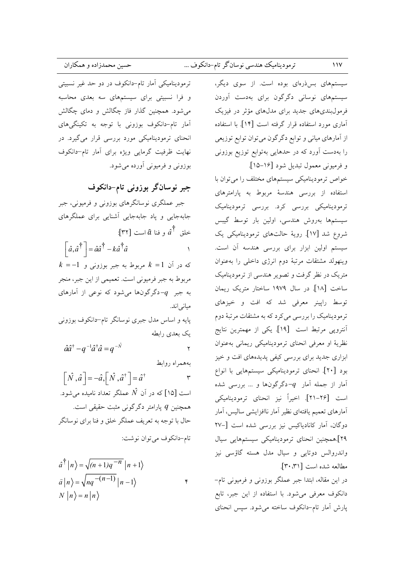# ترموديناميك هندسي نوسانگر تام-دانكوف ...

ترمودینامیکی آمار تام-دانکوف در دو حد غیر نسبیتی و فرا نسبیتی برای سیستمهای سه بعدی محاسبه می شود. همچنین گذار فاز چگالش و دمای چگالش آمار تام-دانکوف بوزونی با توجه به تکینگیهای انحنای ترمودینامیکی مورد بررسی قرار می گیرد. در نهایت ظرفیت گرمایی ویژه برای آمار تام-دانکوف بوزونی و فرمیونی آورده می شود.

جبر نوسانگر بوزونی تام-دانکوف

جبر عملگری نوسانگرهای بوزونی و فرمیونی، جبر جابهجایی و یاد جابهجایی آشنایی برای عملگرهای -<br>خلق  $\hat{a}^{\dagger}$  و فنا  $\hat{a}$  است [۳۲]:

 $\left[\hat{a}, \hat{a}^{\dagger}\right] = \hat{a}\hat{a}^{\dagger} - k\hat{a}^{\dagger}\hat{a}$  $\rightarrow$ 

 $k = -1$  که در آن  $k = 1$  مربوط به جبر بوزونی و مربوط به جبر فرميوني است. تعميمي از اين جبر، منجر به جبر  $q$ -دگرگونها میشود که نوعی از آمارهای میانی اند. پایه و اساس مدل جبری نوسانگر تام-دانکوف بوزونی یک بعدی رابطه

 $\hat{a}\hat{a}^{\dagger} - q^{-1}\hat{a}^{\dagger}\hat{a} = q^{-\hat{N}}$  $\mathbf{r}$ 

بههمراه روابط

 $\left[\hat{N}, \hat{a}\right] = -\hat{a}, \left[\hat{N}, \hat{a}^{\dagger}\right] = \hat{a}^{\dagger}$  $\mathsf{r}$ است [۱۵] که در آن  $\hat N$  عملگر تعداد نامیده میشود. همچنین  $q$  پارامتر دگرگونی مثبت حقیقی است. حال با توجه به تعریف عملگر خلق و فنا برای نوسانگر تام-دانکوف می توان نوشت:

$$
\hat{a}^{\dagger} |n\rangle = \sqrt{(n+1)q^{-n}} |n+1\rangle
$$
  
\n
$$
\hat{a} |n\rangle = \sqrt{nq^{-(n-1)}} |n-1\rangle
$$
  
\n
$$
N |n\rangle = n |n\rangle
$$

سیستمهای بس ذرهای بوده است. از سوی دیگر، سیستمهای نوسانی دگرگون برای بهدست آوردن فرمولبندیهای جدید برای مدلهای مؤثر در فیزیک آماری مورد استفاده قرار گرفته است [۱۴]. با استفاده از آمارهای میانی و توابع دگرگون میتوان توابع توزیعی را بهدست آورد که در حدهایی بهتوابع توزیع بوزونی و فرميوني معمول تبديل شود [١۶–١۵].

خواص ترمودینامیکی سیستمهای مختلف را می<mark>توان</mark> با استفاده از بررسی هندسهٔ مربوط به پارامترهای ۔<br>ترمودینامیکی بررسی کرد. بررسی ترمودینامیک سیستمها بەروش هندسی، اولین بار توسط گیبس شروع شد [۱۷]. رويهٔ حالتهای ترمودینامیکی یک سیستم اولین ابزار برای بررسی هندسه آن است. وينهولد مشتقات مرتبهٔ دوم انرژى داخلى را بهعنوان متریک در نظر گرفت و تصویر هندسی از ترمودینامیک ساخت [۱۸]. در سال ۱۹۷۹ ساختار متریک ریمان توسط رایینر معرفی شد که افت و خیزهای ترمودینامیک را بررسی می کرد که به مشتقات مرتبهٔ دوم اًنتروپی مرتبط است [۱۹]. یکی از مهمترین نتایج نظریهٔ او معرفی انحنای ترمودینامیکی ریمانی بهعنوان ابزاری جدید برای بررسی کیفی پدیدههای افت و خیز بود [۲۰]. انحنای ترمودینامیکی سیستمهایی با انواع آمار از جمله آمار  $q$ -دگرگونها و … بررسی شده است [۲۶–۲۱]. اخیراً نیز انحنای ترمودینامیکی أمارهاي تعميم يافتهاي نظير أمار ناافزايشي ساليس، أمار دوگان، آمار كانادياكيس نيز بررسي شده است [-٢٧ ۲۹].همچنین انحنای ترمودینامیکی سیستمهایی سیال واندروالس دوتايي و سيال مدل هسته گاؤسي نيز مطالعه شده است [٣٠،٣١].

در این مقاله، ابتدا جبر عملگر بوزونی و فرمیونی تام-دانکوف معرفی میشود. با استفاده از این جبر، تابع يارش أمار تام-دانكوف ساخته مي شود. سيس انحناي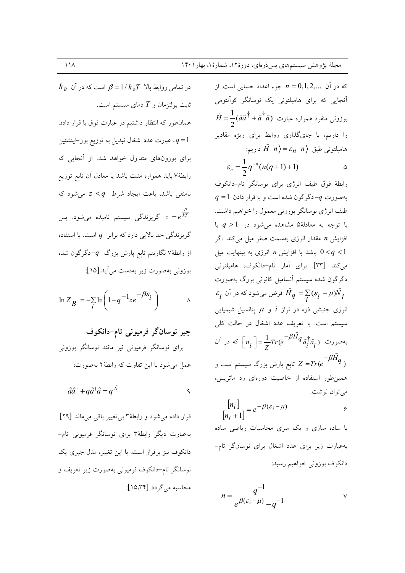که در آن  $n = 0, 1, 2, ...$  جزء اعداد حسابی است. از آنجایی که برای هامیلتونی یک نوسانگر کوآنتومی  $\hat{H} = \frac{1}{2}(\hat{a}\hat{a}^{\dagger} + \hat{a}^{\dagger}\hat{a})$  بوزونی منفرد همواره عبارت را داریم، با جایگذاری روابط برای ویژه مقادیر - هامیلتونی طبق  $\widehat{H}\left|n\right\rangle =\varepsilon_{n}\left|n\right\rangle$  داریم

$$
\varepsilon_n = \frac{1}{2} q^{-n} (n(q+1)+1)
$$

رابطهٔ فوق طیف انرژی برای نوسانگر تام-دانکوف  $q = 1$  بهصورت  $q -$ دگرگون شده است و با قرار دادن طیف انرژی نوسانگر بوزونی معمول را خواهیم داشت. با توجه به معادلهٔ۵ مشاهده میشود در  $q>1$  با افزایش n مقدار انرژی بهسمت صفر میل می کند. اگر باشد با افزایش n انرژی به بینهایت میل 0<9 باشد با افزایش  $0 < q < 1$ می کند [۳۳]. برای آمار تام-دانکوف، هامیلتونی دگرگون شده سیستم آنسامبل کانونی بزرگ بهصورت  $\varepsilon_i$  فرض میشود که در آن  $\hat{H}_q = \sum (\varepsilon_i - \mu) \hat{N}_i$ انرژی جنبشی ذره در تراز i و  $\mu$  پتانسیل شیمیایی سیستم است. با تعریف عدد اشغال در حالت کلی بهصورت  $\left[n_i\ \right]=\frac{1}{7}Tr(e^{-\beta \hat{H} }q_{\ \hat{a}^{\dag}_i \hat{a}^{\dag}_i})$  که در آن تابع پارش بزرگ سیستم است و  $Z = Tr (e^{-\beta H} q\; )$ .<br>همین طور استفاده از خاصیت دورهای رد ماتریس، مي توان نوشت:  $\frac{\lfloor n_i \rfloor}{\lceil n_i + 1 \rceil} = e^{-\beta(\varepsilon_i - \mu)}$  $\ddot{\mathbf{c}}$ با ساده سازی و یک سری محاسبات ریاضی ساده بهعبارت زیر برای عدد اشغال برای نوسانگر تام-

$$
n = \frac{q^{-1}}{e^{\beta(\varepsilon_i - \mu)} - a^{-1}} \qquad \vee
$$

دانکوف بوزونی خواهیم رسید:

 $k_{\scriptscriptstyle R}$  در تمامی روابط بالا  $1/k_{\scriptscriptstyle R}T$  است که در آن ثابت بولتزمان و  $T$  دمای سیستم است. همانطور که انتظار داشتیم در عبارت فوق با قرار دادن ، عبارت عدد اشغال تبديل به توزيع بوز-اينشتين ،  $q\!=\!1$ برای بوزونهای متداول خواهد شد. از آنجایی که رابطهٔ۷ باید همواره مثبت باشد یا معادل آن تابع توزیع نامنفی باشد، باعث ایجاد شرط  $q > z < q$  می شود که گریزندگی سیستم نامیده میشود. پس $z = e^{\frac{\mu}{kT}}$ گریزندگی حد بالایی دارد که برابر  $q$  است. با استفاده از رابطهٔ۷لگاریتم تابع پارش بزرگ  $-q$ دگرگون شده بوزوني بهصورت زير بهدست مي أيد [١٥]:

$$
\ln Z_B = -\sum_{i} \ln \left( 1 - q^{-1} z e^{-\beta \varepsilon_i} \right) \qquad \qquad \wedge
$$

جبر نوسانگر فرميوني تام-دانكوف برای نوسانگر فرمیونی نیز مانند نوسانگر بوزونی عمل می شود با این تفاوت که رابطهٔ ۲ بهصورت:

$$
\hat{a}\hat{a}^{\dagger} + q\hat{a}^{\dagger}\hat{a} = q^{\hat{N}}
$$

قرار داده مي شود و رابطهٔ٣ بي تغيير باقي مي ماند [٢٩]. بهعبارت دیگر رابطهٔ۳ برای نوسانگر فرمیونی تام-دانکوف نیز برقرار است. با این تغییر، مدل جبری یک نوسانگر تام–دانکوف فرمیونی بهصورت زیر تعریف و محاسبه می گردد [۱۵،۳۴]: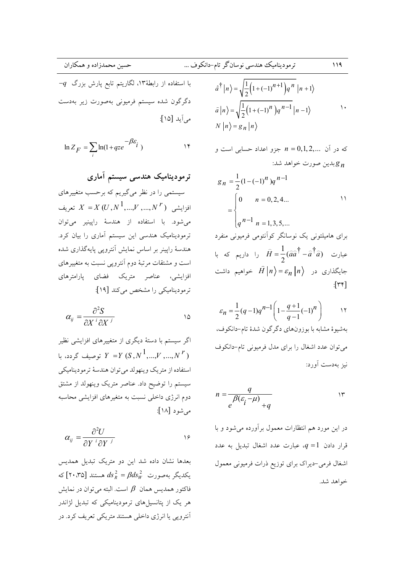$$
\ln Z_F = \sum_i \ln(1 + qze^{-\beta \varepsilon_i})
$$

ترمودینامیک هندسی سیستم آماری سیستمی را در نظر میگیریم که برحسب متغییرهای افزايشى  $X = X(U, N^1, ..., V^r, ..., N^r)$  تعريف میشود. با استفاده از هندسهٔ راپینیر میتوان .<br>ترمودینامیک هندسی این سیستم آماری را بیان کرد. هندسهٔ رایینر بر اساس نمایش آنترویی پایهگذاری شده است و مشتقات مرتبهٔ دوم آنتروپی نسبت به متغییرهای افزایشی، عناصر متریک فضای پارامترهای ترمودینامیکی را مشخص میکند [۱۹]:

$$
\alpha_{ij} = \frac{\partial^2 S}{\partial X^i \partial X^j}
$$

اگر سیستم با دستهٔ دیگری از متغییرهای افزایشی نظیر توصیف گردد، با  $Y = Y(S, N^1, ..., V^r, ..., N^r)$ استفاده از متريك وينهولد مى توان هندسهٔ ترموديناميكي سیستم را توضیح داد. عناصر متریک وینهولد از مشتق دوم انرژی داخلی نسبت به متغیرهای افزایشی محاسبه می شود [۱۸]:

$$
\alpha_{ij} = \frac{\partial^2 U}{\partial Y^i \partial Y^j}
$$

بعدها نشان داده شد این دو متریک تبدیل همدیس یکدیگر بهصورت  $\operatorname{ads}_R^2 = \beta ds_W^2$  هستند [۲۰،۳۵] که فاكتور همديس همان  $\,\beta\,$  است. البته مي توان در نمايش هر یک از پتانسیلهای ترمودینامیکی که تبدیل لژاندر آنتروپی یا انرژی داخلی هستند متریکی تعریف کرد. در

$$
\hat{a}^{\dagger} |n\rangle = \sqrt{\frac{1}{2} (1 + (-1)^{n+1}) q^n} |n+1\rangle
$$
  

$$
\hat{a} |n\rangle = \sqrt{\frac{1}{2} (1 + (-1)^n) q^{n-1}} |n-1\rangle
$$
  

$$
N |n\rangle = g_n |n\rangle
$$

که در آن n = 0,1,2,... 
$$
n = 0,1,2,...
$$
 و  
یلین صورت خواهد شد:

$$
g_n = \frac{1}{2} (1 - (-1)^n) q^{n-1}
$$
  
= 
$$
\begin{cases} 0 & n = 0, 2, 4... \\ q^{n-1} & n = 1, 3, 5,... \end{cases}
$$

برای هامیلتونی یک نوسانگر کوأنتومی فرمیونی منفرد عبارت  $\hat{H} = \frac{1}{2}(\hat{a}\hat{a}^{\dagger} - \hat{a}^{\dagger}\hat{a})$  را داریم که با جایگذاری در  $\hat{H}\left|n\right\rangle = \varepsilon_n\left|n\right\rangle$  خواهیم داشت  $\lceil \mathsf{r} \mathsf{r} \rceil$ 

$$
\varepsilon_n = \frac{1}{2}(q-1)q^{n-1}\left(1 - \frac{q+1}{q-1}(-1)^n\right) \qquad \text{17}
$$
يوشيوهٔ مشابه با بوزونهای دگرگون شدهٔ تام-دانکوف،  
میتوان عدد اشغال را برای مدل فرميونی تام-دانکوف  
نیز بهدست آورد:

$$
n = \frac{q}{e^{\beta(\varepsilon_i - \mu)} + q} \qquad \qquad \text{or} \qquad
$$

در این مورد هم انتظارات معمول برآورده می شود و با قرار دادن  $q = 1$ ، عبارت عدد اشغال تبدیل به عدد اشغال فرمي-ديراك براي توزيع ذرات فرميوني معمول خواهد شد.

$$
\rho\cap
$$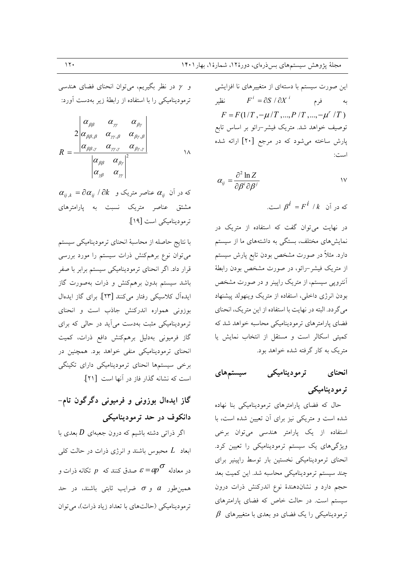و y در نظر بگیریم، می توان انحنای فضای هندسی ترمودینامیکی را با استفاده از رابطهٔ زیر بهدست آورد:

$$
R = \frac{2 \begin{vmatrix} \alpha_{\beta\beta} & \alpha_{\gamma\gamma} & \alpha_{\beta\gamma} \\ \alpha_{\beta\beta,\beta} & \alpha_{\gamma\gamma,\beta} & \alpha_{\beta\gamma,\beta} \\ \alpha_{\beta\beta,\gamma} & \alpha_{\gamma\gamma,\gamma} & \alpha_{\beta\gamma,\gamma} \end{vmatrix}}{\begin{vmatrix} \alpha_{\beta\beta} & \alpha_{\beta\gamma} \\ \alpha_{\gamma\beta} & \alpha_{\gamma\gamma} \end{vmatrix}^2}
$$

 $\alpha_{_{ij},k} = \partial \alpha_{_{ij}}$  /  $\partial k$  عناصر متریک و  $\alpha_{_{ij}}$ مشتق عناصر متریک نسبت به یارامترهای ترموديناميكي است [١٩].

با نتايج حاصله از محاسبة انحناى ترموديناميكي سيستم میتوان نوع برهمکنش ذرات سیستم را مورد بررسی قرار داد. اگر انحنای ترمودینامیکی سیستم برابر با صفر باشد سیستم بدون برهمکنش و ذرات بهصورت گاز ایدهآل کلاسیکی رفتار می کنند [۲۳]. برای گاز ایدهال بوزونی همواره اندرکنش جاذب است و انحنای ترمودینامیکی مثبت بهدست می آید در حالی که برای گاز فرمیونی بهدلیل برهمکنش دافع ذرات، کمیت انحنای ترمودینامیکی منفی خواهد بود. همچنین در برخی سیستمها انحنای ترمودینامیکی دارای تکینگی است كه نشانه گذار فاز در آنها است [۲۱].

گاز ایدهال بوزونی و فرمیونی دگرگون تام-دانکوف در حد ترمودینامیکی

اگر ذراتی دشته باشیم که درون جعبهای  $D$  بعدی با ابعاد  $L$  محبوس باشند و انرژی ذرات در حالت کلی در معادله  $\sigma$  صدق کنند که  $p$  تکانه ذرات و همین طور a و  $\sigma$  ضرایب ثابتی باشند، در حد ترمودینامیکی (حالتهای با تعداد زیاد ذرات)، میتوان

این صورت سیستم با دستهای از متغییرهای نا افزایشی به فرم  $F^i = \partial S / \partial X^i$  نظیر  $F = F(1/T, -\mu/T, ..., P/T, ..., -\mu'/T)$ توصيف خواهد شد. متريک فيشر-رائو بر اساس تابع پارش ساخته می شود که در مرجع [۲۰] ارائه شده است:

$$
\alpha_{ij} = \frac{\partial^2 \ln Z}{\partial \beta^i \partial \beta^j}
$$

که در آن  $\beta^{\dot{l}} = F^{\dot{l}} / k$  است.

در نهایت میتوان گفت که استفاده از متریک در نمایشهای مختلف، بستگی به داشتههای ما از سیستم دارد. مثلاً در صورت مشخص بودن تابع پارش سیستم از متریک فیشر-رائو، در صورت مشخص بودن رابطهٔ آنترویی سیستم، از متریک رایینر و در صورت مشخص بودن انرژی داخلی، استفاده از متریک وینهولد پیشنهاد می گردد. البته در نهایت با استفاده از این متریک، انحنای فضای پارامترهای ترمودینامیکی محاسبه خواهد شد که کمیتی اسکالر است و مستقل از انتخاب نمایش یا متریک به کار گرفته شده خواهد بود.

سیستمهای تر مودینامیکی انحناي ترمودینامیکی

حال که فضای پارامترهای ترمودینامیکی بنا نهاده شده است و متریکی نیز برای آن تعیین شده است، با استفاده از یک پارامتر هندسی میتوان برخی ویژگیهای یک سیستم ترمودینامیکی را تعیین کرد. انحنای ترمودینامیکی نخستین بار توسط راپینیر برای چند سیستم ترمودینامیکی محاسبه شد. این کمیت بعد حجم دارد و نشاندهندهٔ نوع اندرکنش ذرات درون سیستم است. در حالت خاص که فضای پارامترهای  $\beta$  ترمودینامیکی را یک فضای دو بعدی با متغییرهای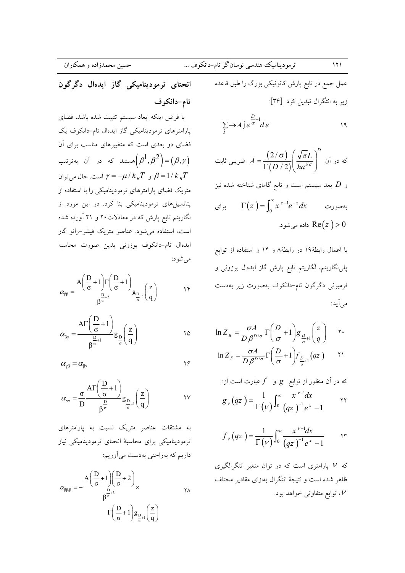عمل جمع در تابع پارش کانونیکی بزرگ را طبق قاعده زیر به انتگرال تبدیل کرد [۳۶]:

$$
\sum_{i} \rightarrow A \int \mathcal{E}^{\frac{D}{\sigma}-1} d\varepsilon
$$

که در آن 
$$
A = \frac{(2/\sigma)}{\Gamma(D/2)} \left(\frac{\sqrt{\pi}L}{ha^{1/\sigma}}\right)^D
$$
ن

و  $D$  بعد سیستم است و تابع گامای شناخته شده نیز برای  $\Gamma(z) = \int_{0}^{\infty} x^{z-1} e^{-x} dx$ بەصورت داده می شود. Re $(z\,)>0$ 

با اعمال رابطهٔ ۱۹ در رابطهٔ ۸ و ۱۴ و استفاده از توابع پلی لگاریتم، لگاریتم تابع پارش گاز ایدهال بوزونی و فرمیونی دگرگون تام-دانکوف بهصورت زیر بهدست مي آيد:

$$
\ln Z_{B} = \frac{\sigma A}{D \beta^{D/\sigma}} \Gamma\left(\frac{D}{\sigma} + 1\right) g_{\frac{D}{\sigma} + 1} \left(\frac{z}{q}\right) \quad \gamma.
$$

$$
\ln Z_F = \frac{\sigma A}{D \beta^{D/\sigma}} \Gamma \left( \frac{D}{\sigma} + 1 \right) f_{\frac{D}{\sigma} + 1} \left( q z \right)
$$

که در آن منظور از توابع 8 و 1 عبارت است از:  

$$
g_{v}(qz) = \frac{1}{\Gamma(v)} \int_{0}^{\infty} \frac{x^{v-1} dx}{(qz)^{-1} e^x - 1}
$$

$$
f_{\nu}(qz) = \frac{1}{\Gamma(\nu)} \int_0^{\infty} \frac{x^{\nu-1} dx}{(qz)^{-1} e^x + 1} \quad \text{or}
$$

که V پارامتری است که در توان متغیر انتگرالگیری ظاهر شده است و نتيجة انتگرال بهازاى مقادير مختلف ، توابع متفاوتی خواهد بود.

تام-دانكوف با فرض اینکه ابعاد سیستم تثبیت شده باشد، فضای پارامترهای ترمودینامیکی گاز ایدهال تام-دانکوف یک فضای دو بعدی است که متغییرهای مناسب برای آن هستند که در آن بهترتیب $\left(\beta^1,\beta^2\right)$ اهستند که در آن بهترتیب $\left(\beta^1,\beta^2\right)$ و  $\gamma = -\mu / k_B T$  است. حال می توان  $\beta = 1 / k_B T$ متریک فضای پارامترهای ترمودینامیکی را با استفاده از پتانسیلهای ترمودینامیکی بنا کرد. در این مورد از لگاریتم تابع پارش که در معادلات۲۰ و ۲۱ آورده شده است، استفاده می شود. عناصر متریک فیشر-رائو گاز ايدهال تام-دانكوف بوزوني بدين صورت محاسبه مي شود:

انحنای ترمودینامیکی گاز ایدهال دگرگون

$$
\alpha_{\beta\beta}=\dfrac{A\bigg(\dfrac{D}{\sigma}+1\bigg)\Gamma\bigg(\dfrac{D}{\sigma}+1\bigg)}{\beta^{\frac{D}{\sigma}+2}}g_{\dfrac{D}{\sigma}+1}\bigg(\dfrac{z}{q}\bigg)\qquad \qquad \text{if}\qquad
$$

$$
\alpha_{\beta\gamma} = \frac{A\Gamma\left(\frac{D}{\sigma} + 1\right)}{\beta^{\frac{D}{\sigma} + 1}} g_{\frac{D}{\sigma}}\left(\frac{z}{q}\right) \hspace{1cm} \text{.}
$$

$$
\alpha_{\gamma\beta} = \alpha_{\beta\gamma} \tag{8}
$$

$$
\alpha_{\gamma\gamma} = \frac{\sigma}{D} \frac{A\Gamma\left(\frac{D}{\sigma} + 1\right)}{\beta^{\frac{D}{\sigma}}} g_{\frac{D}{\sigma} - 1}\left(\frac{z}{q}\right) \qquad \qquad \gamma_V
$$

به مشتقات عناصر متریک نسبت به یارامترهای ترمودینامیکی برای محاسبهٔ انحنای ترمودینامیکی نیاز داریم که بهراحتی بهدست میآوریم:

$$
\alpha_{\beta\beta,\beta} = -\frac{A\left(\dfrac{D}{\sigma}+1\right)\left(\dfrac{D}{\sigma}+2\right)}{\beta^{\frac{D}{\sigma}+3}}\times \qquad \qquad \gamma_{A}
$$

 $151$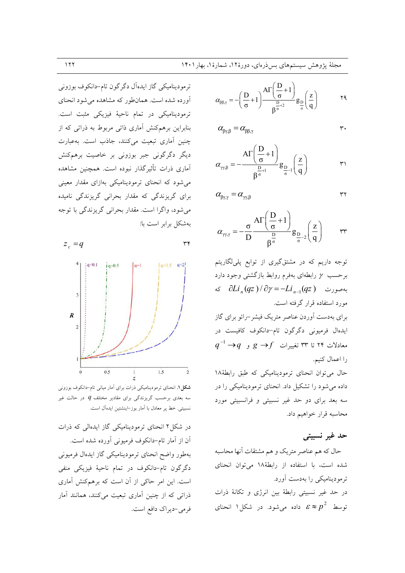ترمودینامیکی گاز ایدهآل دگرگون تام-دانکوف بوزونی آورده شده است. همانطور که مشاهده می شود انحنای ترمودینامیکی در تمام ناحیهٔ فیزیکی مثبت است. بنابراین برهمکنش آماری ذاتی مربوط به ذراتی که از چنین آماری تبعیت میکنند، جاذب است. بهعبارت دیگر دگرگونی جبر بوزونی بر خاصیت برهمکنش آماری ذرات تأثیرگذار نبوده است. همچنین مشاهده می شود که انحنای ترمودینامیکی بهازای مقدار معینی برای گریزندگی که مقدار بحرانی گریزندگی نامیده مي شود، واگرا است. مقدار بحراني گريزندگي با توجه بهشكل برابر است با:

$$
z_c = q
$$
  

$$
z_c = 4
$$
  

$$
z_c = 4
$$
  

$$
z_c = 4
$$
  

$$
z_c = 4
$$
  

$$
z_c = 4
$$
  

$$
z_c = 4
$$
  

$$
z_c = 4
$$
  

$$
z_c = 4
$$
  

$$
z_c = 4
$$
  

$$
z_c = 4
$$
  

$$
z_c = 4
$$
  

$$
z_c = 4
$$
  

$$
z_c = 4
$$
  

$$
z_c = 4
$$
  

$$
z_c = 4
$$
  

$$
z_c = 4
$$
  

$$
z_c = 4
$$
  

$$
z_c = 4
$$
  

$$
z_c = 4
$$
  

$$
z_c = 4
$$
  

$$
z_c = 4
$$
  

$$
z_c = 4
$$
  

$$
z_c = 4
$$
  

$$
z_c = 4
$$
  

$$
z_c = 4
$$
  

$$
z_c = 4
$$
  

$$
z_c = 4
$$
  

$$
z_c = 4
$$
  

$$
z_c = 4
$$
  

$$
z_c = 4
$$
  

$$
z_c = 4
$$
  

$$
z_c = 4
$$
  

$$
z_c = 4
$$
  

$$
z_c = 4
$$
  

$$
z_c = 4
$$
  

$$
z_c = 4
$$
  

$$
z_c = 4
$$
  

$$
z_c = 4
$$
  

$$
z_c = 4
$$
  

$$
z_c = 4
$$
  

$$
z_c = 4
$$
  

$$
z_c = 4
$$
  

$$
z_c = 4
$$
  

$$
z_c = 4
$$
  

$$
z_c = 4
$$
  

$$
z_c = 4
$$
  

$$
z_c = 4
$$
  

$$
z_c = 4
$$
  

$$
z_c = 4
$$
  

$$
z_c = 4
$$
  
<

 $\forall$ 

 $q=2!$ 

 $\overline{2}$  $0.5$  $\bar{1}$  $1.5$ **شکل ۱.** انحنای ترمودینامیکی ذرات برای آمار میانی تام-دانکوف بوزونی سه بعدی برحسب گریزندگی برای مقادیر مختلف  $q$  در حالت غیر نسبيتي. خط ير معادل با اَمار بوز–اينشتين ايدهاَل است.

در شکل۲ انحنای ترمودینامیکی گاز ایدهالی که ذرات آن از آمار تام-دانکوف فرمیونی آورده شده است. بهطور واضح انحناي ترموديناميكي گاز ايدهال فرميوني دگرگون تام-دانکوف در تمام ناحیهٔ فیزیکی منفی است. این امر حاکی از آن است که برهمکنش آماری ذراتی که از چنین آماری تبعیت میکنند، همانند آمار فرمي-ديراك دافع است.

$$
\alpha_{\beta\beta,\gamma}=-\Bigg(\frac{D}{\sigma}+1\Bigg)\frac{A\Gamma\Bigg(\frac{D}{\sigma}+1\Bigg)}{\beta^{\frac{D}{\sigma}+2}}g_{\frac{D}{\sigma}}\Bigg(\frac{z}{q}\Bigg)\hspace{1cm}\text{or}\hspace{1cm}
$$

$$
\alpha_{\beta\gamma,\beta}=\alpha_{\beta\beta,\gamma} \hspace{2cm} \gamma
$$

$$
\alpha_{\gamma;\beta} = -\frac{A\Gamma\left(\frac{D}{\sigma} + 1\right)}{\beta^{\frac{D}{\sigma}+1}} g_{\frac{D}{\sigma}-1}\left(\frac{z}{q}\right) \qquad \qquad \gamma
$$

$$
\alpha_{\beta\gamma,\gamma}=\alpha_{\gamma\gamma,\beta}
$$

$$
\alpha_{\gamma;\gamma} = -\frac{\sigma}{D} \frac{A\Gamma\left(\frac{D}{\sigma} + 1\right)}{\beta^{\frac{D}{\sigma}}} g_{\frac{D}{\sigma}-2}\left(\frac{z}{q}\right) \qquad \text{rr}
$$

توجه داریم که در مشتقگیری از توابع پلیلگاریتم برحسب  $\gamma$  رابطهای بهفرم روابط بازگشتی وجود دارد  $\partial Li_n(qz)/\partial \gamma = -Li_{n-1}(qz)$  بهصورت مورد استفاده قرار گرفته است.

برای بهدست آوردن عناصر متریک فیشر –رائو برای گاز ايدهال فرميونى دگرگون تام-دانكوف كافيست در  $q^{-1} \rightarrow q$  معادلات ۲۴ تا ۳۳ تغییرات  $f$ ہ $g \rightarrow$  و را اعمال كنيم.

حال می توان انحنای ترمودینامیکی که طبق رابطهٔ۱۸ داده می شود را تشکیل داد. انحنای ترمودینامیکی را در سه بعد برای دو حد غیر نسبیتی و فرانسبیتی مورد محاسبه قرار خواهیم داد.

# حد غير نسبيتي

 $\mathsf{r}\mathsf{r}$ 

حال که هم عناصر متریک و هم مشتقات آنها محاسبه شده است، با استفاده از رابطهٔ۱۸ می توان انحنای ترمودینامیکی را بهدست آورد. در حد غیر نسبیتی رابطهٔ بین انرژی و تکانهٔ ذرات توسط  $\varepsilon \approx p^2$  داده میشود. در شکل۱ انحنای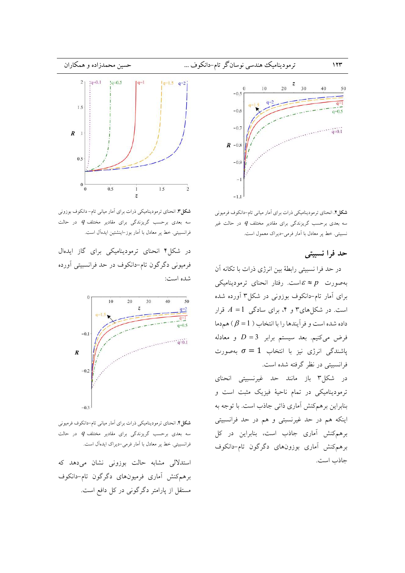

**شکل ۲.** انحنای ترمودینامیکی ذرات برای آمار میانی تام-دانکوف فرمیونی سه بعدی برحسب گریزندگی برای مقادیر مختلف  $q$  در حالت غیر نسبیتی. خط پر معادل با آمار فرمی-دیراک معمول است.

## حد فرا نسبيتي

در حد فرا نسبیتی رابطهٔ بین انرژی ذرات با تکانه آن بهصورت  $\varepsilon \approx p$ است. رفتار انحنای ترمودینامیکی برای آمار تام-دانکوف بوزونی در شکل۳ آورده شده است. در شکلهای۳ و ۴، برای سادگی  $A = 1$  قرار داده شده است و فر آیندها را با انتخاب (  $\beta = 1$ ) هم دما فرض میکنیم. بعد سیستم برابر 3= D و معادله پاشندگی انرژی نیز با انتخاب  $\sigma=1$  بهصورت فرانسبیتی در نظر گرفته شده است. در شکل۳ باز مانند حد غیرنسبیتی انحنای ترمودینامیکی در تمام ناحیهٔ فیزیک مثبت است و بنابراین برهمکنش آماری ذاتی جاذب است. با توجه به اینکه هم در حد غیرنسبتی و هم در حد فرانسبیتی برهم كنش آماري جاذب است، بنابراين در كل برهم كنش أماري بوزونهاي دگرگون تام-دانكوف جاذب است.



**شکل۳.** انحنای ترمودینامیکی ذرات برای آمار میانی تام-دانکوف بوزونی سه بعدی برحسب گریزندگی برای مقادیر مختلف  $q$  در حالت فرانسبیتی. خط پر معادل با اَمار بوز–اینشتین ایدهاَل است.

در شکل۴ انحنای ترمودینامیکی برای گاز ایدهال فرمیونی دگرگون تام-دانکوف در حد فرانسبیتی آورده شده است:



شکل؟. انحنای ترمودینامیکی ذرات برای آمار میانی تام-دانکوف فرمیونی سه بعدی برحسب گریزندگی برای مقادیر مختلف  $q$  در حالت فرانسبیتی. خط پر معادل با آمار فرمی-دیراک ایدهآل است.

استدلالی مشابه حالت بوزونی نشان میدهد که برهمكنش أماري فرميونهاي دگرگون تام-دانكوف مستقل از پارامتر دگرگونی در کل دافع است.

 $157$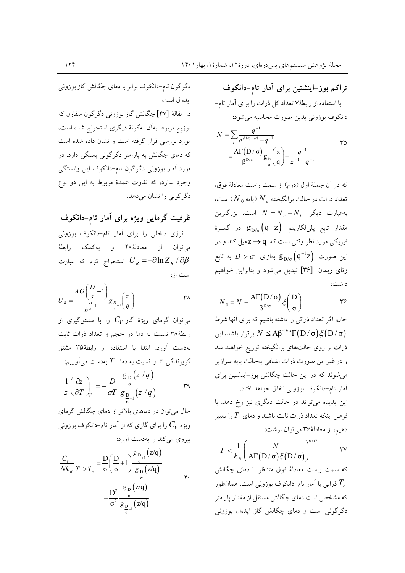تراکم بوز–اینشتین برای آمار تام–دانکوف با استفاده از رابطهٔ۷ تعداد کل ذرات را برای آمار تام-دانكوف بوزوني بدين صورت محاسبه مي شود:  $N = \sum \frac{q^{-1}}{q^{1/2}}$  $r_0$ 

$$
= \frac{A\Gamma(D/\sigma)}{\beta^{D/\sigma}} g_{\frac{D}{\sigma}} \left(\frac{z}{q}\right) + \frac{q^{-1}}{z^{-1} - q^{-1}}
$$

كه در آن جملهٔ اول (دوم) از سمت راست معادلهٔ فوق، تعداد ذرات در حالت برانگیخته  $N_{\,e}$  (پایه  $(N_{\,0}$ ) است، بهعبارت دیگر  $N = N_e + N_0$  است. بزرگترین مقدار تابع پل<sub>ی</sub>لگاریتم  $g_{D/\sigma}\big(q^{-1}z\big)$  در گسترهٔ فیزیکی مورد نظر وقتی است که q → Zمیل کند و در این صورت  $g_{D/\sigma} \left( q^{-1} z \right)$  بهازای  $D > \sigma$  به تابع زتای ریمان [۳۶] تبدیل میشود و بنابراین خواهیم داشت:

$$
N_0 = N - \frac{\mathrm{A}\Gamma(D/\sigma)}{\beta^{D/\sigma}} \xi\left(\frac{D}{\sigma}\right) \qquad \qquad \gamma \varphi
$$

حال، اگر تعداد ذراتی را داشته باشیم که برای آنها شرط يرقرار باشد، اين  $N \leq A \beta^{D/\sigma} \Gamma(D/\sigma) \xi(D/\sigma)$ ذرات بر روی حالتهای برانگیخته توزیع خواهند شد و در غير اين صورت ذرات اضافي بهحالت پايه سرازير می شوند که در این حالت چگالش بوز-اینشتین برای أمار تام-دانكوف بوزوني اتفاق خواهد افتاد. این پدیده میتواند در حالت دیگری نیز رخ دهد. با فرض اینکه تعداد ذرات ثابت باشند و دمای  $T$  را تغییر دهیم، از معادلهٔ۳۶ میتوان نوشت:

$$
T < \frac{1}{k_B} \left( \frac{N}{\mathrm{A}\Gamma\left(\mathrm{D}\,/\,\sigma\right)\xi\left(\mathrm{D}\,/\,\sigma\right)} \right)^{\sigma/D} \qquad \qquad \text{TV}
$$

که سمت راست معادلهٔ فوق متناظر با دمای چگالش ذراتی با آمار تام–دانکوف بوزونی است. همانطور  $T_{_{c}}$ که مشخص است دمای چگالش مستقل از مقدار پارامتر دگرگونی است و دمای چگالش گاز ایدهال بوزونی

دگرگون تام-دانکوف برابر با دمای چگالش گاز بوزونی ايدهال است.

در مقالهٔ [۳۷] چگالش گاز بوزونی دگرگون متقارن که توزیع مربوط بهآن بهگونهٔ دیگری استخراج شده است، مورد بررسی قرار گرفته است و نشان داده شده است که دمای چگالش به پارامتر دگرگونی بستگی دارد. در مورد آمار بوزونی دگرگون تام-دانکوف این وابستگی وجود ندارد، که تفاوت عمدهٔ مربوط به این دو نوع دگرگونی را نشان میدهد.

ظرفیت گرمایی ویژه برای آمار تام–دانکوف

انرژی داخلی را برای آمار تام-دانکوف بوزونی می توان از معادلهٔ۲۰ و بهکمک رابطهٔ استخراج کرد که عبارت  $U_{B} = -\partial \ln Z_{B} / \partial \beta$ است از:

$$
U_B = \frac{AG\left(\frac{D}{s} + 1\right)}{b^{\frac{D}{s} + 1}} g_{\frac{D}{s} + 1} \left(\frac{z}{q}\right)
$$

می توان گرمای ویژهٔ گاز  $C_V$  را با مشتقگیری از رابطهٔ۳۸ نسبت به دما در حجم و تعداد ذرات ثابت بهدست آورد. ابتدا با استفاده از رابطهٔ۳۵ مشتق گریزندگی z را نسبت به دما $T$  بهدست میآوریم:

$$
\frac{1}{z} \left( \frac{\partial z}{\partial T} \right)_V = -\frac{D}{\sigma T} \frac{g_{\frac{D}{\sigma}}(z/q)}{g_{\frac{D}{\sigma}-1}(z/q)} \qquad \qquad \text{and} \qquad
$$

حال می توان در دماهای بالاتر از دمای چگالش گرمای ویژه  $C_{\it V}$  را برای گازی که از آمار تام–دانکوف بوزونی پیروی می کند را بهدست آورد:

$$
\frac{C_V}{N k_B} \bigg|_{T > T_c} = \frac{D}{\sigma} \left( \frac{D}{\sigma} + 1 \right) \frac{g_{\frac{D}{\sigma}+1}}{g_{\frac{D}{\sigma}}(z/q)} - \frac{D^2}{\sigma^2} \frac{g_{\frac{D}{\sigma}}(z/q)}{g_{\frac{D}{\sigma}+1}(z/q)} \qquad \qquad \text{*,}
$$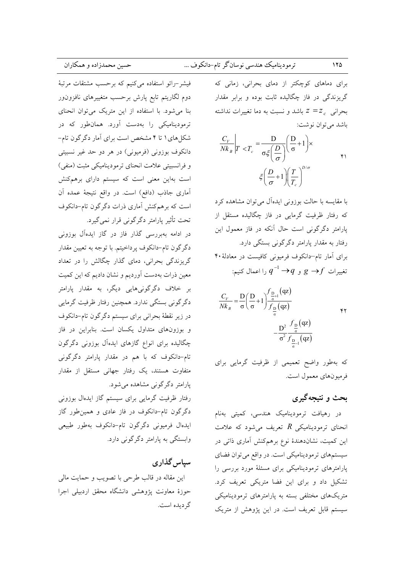# ترموديناميك هندسي نوسانگر تام-دانكوف ...

برای دماهای کوچکتر از دمای بحرانی، زمانی که گریزندگی در فاز چگالیده ثابت بوده و برابر مقدار بحرانی  $z = z_c$  باشد و نسبت به دما تغییرات نداشته باشد مي توان نوشت:

$$
\frac{C_V}{N k_B} \bigg| T < T_c = \frac{D}{\sigma \xi \left( \frac{D}{\sigma} \right)} \left( \frac{D}{\sigma} + 1 \right) \times \xi \left( \frac{D}{\sigma} + 1 \right) \left( \frac{T}{T_c} \right)^{D/\sigma} \tag{4}
$$

با مقایسه با حالت بوزونی ایدهآل میتوان مشاهده کرد که رفتار ظرفیت گرمایی در فاز چگالیده مستقل از پارامتر دگرگونی است حال آنکه در فاز معمول این رفتار به مقدار پارامتر دگرگونی بستگی دارد. برای آمار تام-دانکوف فرمیونی کافیست در معادلهٔ ۴۰ تغییرات  $g \rightarrow f$  و  $q^{-1} \rightarrow q^{-1}$  را اعمال کنیم:

$$
\frac{C_V}{N k_B} = \frac{D}{\sigma} \left( \frac{D}{\sigma} + 1 \right) \frac{f_{\frac{D}{\sigma}+1}(qz)}{f_{\frac{D}{\sigma}}(qz)}
$$

که بهطور واضح تعمیمی از ظرفیت گرمایی برای فرميونهاي معمول است.

# بحث و نتیجهگیری

در رهیافت ترمودینامیک هندسی، کمیتی بهنام انحنای ترمودینامیکی  $R$  تعریف می شود که علامت این کمیت، نشاندهندهٔ نوع برهمکنش آماری ذاتی در سیستمهای ترمودینامیکی است. در واقع می توان فضای پارامترهای ترمودینامیکی برای مسئلهٔ مورد بررسی را تشکیل داد و برای این فضا متریکی تعریف کرد. متریکهای مختلفی بسته به پارامترهای ترمودینامیکی سیستم قابل تعریف است. در این پژوهش از متریک

فیشر-رائو استفاده میکنیم که برحسب مشتقات مرتبهٔ دوم لگاریتم تابع پارش برحسب متغییرهای نافزونLور بنا می شود. با استفاده از این متریک می توان انحنای ترمودینامیکی را بهدست آورد. همانطور که در شکل های ۱ تا ۴ مشخص است برای آمار دگر گون تام-دانکوف بوزونی (فرمیونی) در هر دو حد غیر نسبیتی و فرانسبیتی علامت انحنای ترمودینامیکی مثبت (منفی) است بهاین معنی است که سیستم دارای برهمکنش آماری جاذب (دافع) است. در واقع نتیجهٔ عمده آن است که برهمکنش آماری ذرات دگر گون تام-دانکوف تحت تأثیر پارامتر دگرگونی قرار نمی گیرد.

در ادامه بهبررسی گذار فاز در گاز ایدهآل بوزونی دگرگون تام-دانکوف پرداخیتم. با توجه به تعیین مقدار گریزندگی بحرانی، دمای گذار چگالش را در تعداد معین ذرات بهدست آوردیم و نشان دادیم که این کمیت بر خلاف دگرگونیهایی دیگر، به مقدار یارامتر دگرگونی بستگی ندارد. همچنین رفتار ظرفیت گرمایی در زير نقطهٔ بحراني براي سيستم دگرگون تام-دانكوف و بوزونهای متداول یکسان است. بنابراین در فاز چگالیده برای انواع گازهای ایدهآل بوزونی دگرگون تام-دانکوف که با هم در مقدار پارامتر دگرگونی متفاوت هستند، یک رفتار جهانی مستقل از مقدار پارامتر دگرگونی مشاهده میشود.

رفتار ظرفیت گرمایی برای سیستم گاز ایدهال بوزونی دگرگون تام-دانکوف در فاز عادی و همینطور گاز ايدهال فرميونى دگرگون تام-دانكوف بهطور طبيعي وابستگی به یارامتر دگرگونی دارد.

سیاس گذاری این مقاله در قالب طرحی با تصویب و حمایت مالی حوزهٔ معاونت پژوهشی دانشگاه محقق اردبیلی اجرا گر ديده است.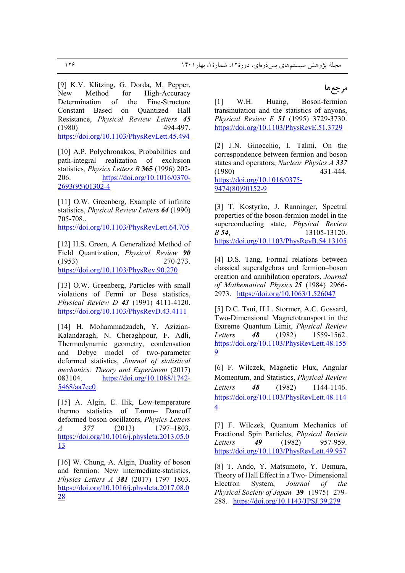[9] K.V. Klitzing, G. Dorda, M. Pepper, New Method for High-Accuracy Determination of the Fine-Structure Constant Based on Quantized Hall Resistance, *Physical Review Letters 45* (1980) 494-497. https://doi.org/10.1103/PhysRevLett.45.494

[10] A.P. Polychronakos, Probabilities and path-integral realization of exclusion statistics*, Physics Letters B* **365** (1996) 202- 206. https://doi.org/10.1016/0370- 2693(95)01302-4

[11] O.W. Greenberg, Example of infinite statistics, *Physical Review Letters 64* (1990) 705-708.. https://doi.org/10.1103/PhysRevLett.64.705

[12] H.S. Green, A Generalized Method of Field Quantization, *Physical Review 90* (1953) 270-273. https://doi.org/10.1103/PhysRev.90.270

[13] O.W. Greenberg, Particles with small violations of Fermi or Bose statistics, *Physical Review D 43* (1991) 4111-4120. https://doi.org/10.1103/PhysRevD.43.4111

[14] H. Mohammadzadeh, Y. Azizian-Kalandaragh, N. Cheraghpour, F. Adli, Thermodynamic geometry, condensation and Debye model of two-parameter deformed statistics, *Journal of statistical mechanics: Theory and Experiment* (2017) 083104. https://doi.org/10.1088/1742-5468/aa7ee0

[15] A. Algin, E. Ilik, Low-temperature thermo statistics of Tamm– Dancoff deformed boson oscillators, *Physics Letters A 377* (2013) 1797–1803. https://doi.org/10.1016/j.physleta.2013.05.0 13

[16] W. Chung, A. Algin, Duality of boson and fermion: New intermediate-statistics, *Physics Letters A 381* (2017) 1797–1803. https://doi.org/10.1016/j.physleta.2017.08.0 28

# مرجعها

[1] W.H. Huang, Boson-fermion transmutation and the statistics of anyons, *Physical Review E 51* (1995) 3729-3730. https://doi.org/10.1103/PhysRevE.51.3729

[2] J.N. Ginocchio, I. Talmi, On the correspondence between fermion and boson states and operators, *Nuclear Physics A 337* (1980) 431-444. https://doi.org/10.1016/0375- 9474(80)90152-9

[3] T. Kostyrko, J. Ranninger, Spectral properties of the boson-fermion model in the superconducting state, *Physical Review B 54*, 13105-13120. https://doi.org/10.1103/PhysRevB.54.13105

[4] D.S. Tang, Formal relations between classical superalgebras and fermion–boson creation and annihilation operators, *Journal of Mathematical Physics 25* (1984) 2966- 2973. https://doi.org/10.1063/1.526047

[5] D.C. Tsui, H.L. Stormer, A.C. Gossard, Two-Dimensional Magnetotransport in the Extreme Quantum Limit, *Physical Review Letters 48* (1982) 1559-1562. https://doi.org/10.1103/PhysRevLett.48.155 9

[6] F. Wilczek, Magnetic Flux, Angular Momentum, and Statistics, *Physical Review Letters 48* (1982) 1144-1146. https://doi.org/10.1103/PhysRevLett.48.114 4

[7] F. Wilczek, Quantum Mechanics of Fractional Spin Particles, *Physical Review Letters 49* (1982) 957-959. https://doi.org/10.1103/PhysRevLett.49.957

[8] T. Ando, Y. Matsumoto, Y. Uemura, Theory of Hall Effect in a Two- Dimensional Electron System, *Journal of the Physical Society of Japan* **39** (1975) 279- 288. https://doi.org/10.1143/JPSJ.39.279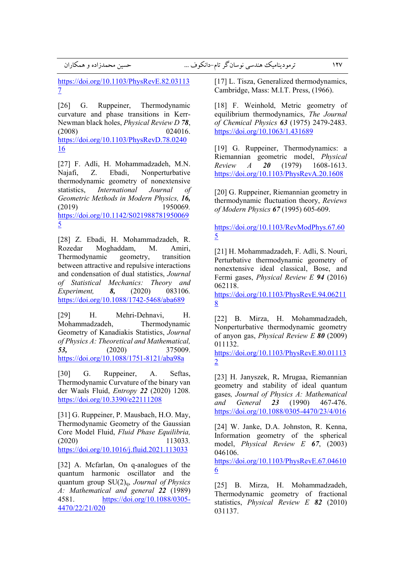https://doi.org/10.1103/PhysRevE.82.03113 7

[26] G. Ruppeiner, Thermodynamic curvature and phase transitions in Kerr-Newman black holes, *Physical Review D 78*, (2008) 024016. https://doi.org/10.1103/PhysRevD.78.0240 16

[27] F. Adli, H. Mohammadzadeh, M.N. Najafi, Z. Ebadi, Nonperturbative thermodynamic geometry of nonextensive statistics, *International Journal of Geometric Methods in Modern Physics, 16,* (2019) 1950069*.*  https://doi.org/10.1142/S021988781950069 5

[28] Z. Ebadi, H. Mohammadzadeh, R. Rozedar Moghaddam, M. Amiri, Thermodynamic geometry, transition between attractive and repulsive interactions and condensation of dual statistics, *Journal of Statistical Mechanics: Theory and Experiment, 8,* (2020) 083106*.*  https://doi.org/10.1088/1742-5468/aba689

[29] H. Mehri-Dehnavi, H. Mohammadzadeh, Thermodynamic Geometry of Kanadiakis Statistics, *Journal of Physics A: Theoretical and Mathematical, 53,* (2020) 375009. https://doi.org/10.1088/1751-8121/aba98a

[30] G. Ruppeiner, A. Seftas, Thermodynamic Curvature of the binary van der Waals Fluid, *Entropy 22* (2020) 1208*.* https://doi.org/10.3390/e22111208

[31] G. Ruppeiner, P. Mausbach, H.O. May, Thermodynamic Geometry of the Gaussian Core Model Fluid, *Fluid Phase Equilibria,*  (2020) 113033*.*  https://doi.org/10.1016/j.fluid.2021.113033

[32] A. Mcfarlan, On q-analogues of the quantum harmonic oscillator and the quantum group SU(2)q, *Journal of Physics A: Mathematical and general 22* (1989) 4581. https://doi.org/10.1088/0305- 4470/22/21/020

[17] L. Tisza, Generalized thermodynamics, Cambridge, Mass: M.I.T. Press, (1966).

[18] F. Weinhold, Metric geometry of equilibrium thermodynamics, *The Journal of Chemical Physics 63* (1975) 2479-2483. https://doi.org/10.1063/1.431689

[19] G. Ruppeiner, Thermodynamics: a Riemannian geometric model, *Physical Review A 20* (1979) 1608-1613. https://doi.org/10.1103/PhysRevA.20.1608

[20] G. Ruppeiner, Riemannian geometry in thermodynamic fluctuation theory, *Reviews of Modern Physics 67* (1995) 605-609.

https://doi.org/10.1103/RevModPhys.67.60 5

[21] H. Mohammadzadeh, F. Adli, S. Nouri, Perturbative thermodynamic geometry of nonextensive ideal classical, Bose, and Fermi gases, *Physical Review E 94* (2016) 062118.

https://doi.org/10.1103/PhysRevE.94.06211 8

[22] B. Mirza, H. Mohammadzadeh, Nonperturbative thermodynamic geometry of anyon gas, *Physical Review E 80* (2009) 011132.

https://doi.org/10.1103/PhysRevE.80.01113 2

[23] H. Janyszek, R**.** Mrugaa, Riemannian geometry and stability of ideal quantum gases*, Journal of Physics A: Mathematical and General 23* (1990) 467-476. https://doi.org/10.1088/0305-4470/23/4/016

[24] W. Janke, D.A. Johnston, R. Kenna, Information geometry of the spherical model, *Physical Review E 67*, (2003) 046106.

https://doi.org/10.1103/PhysRevE.67.04610 6

[25] B. Mirza, H. Mohammadzadeh, Thermodynamic geometry of fractional statistics, *Physical Review E 82* (2010) 031137.